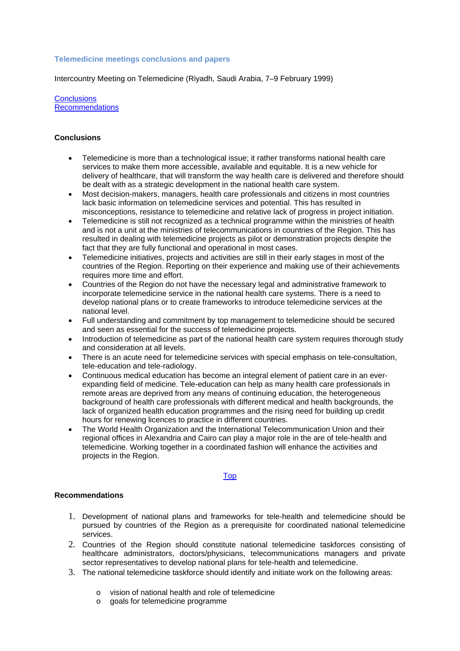## **Telemedicine meetings conclusions and papers**

Intercountry Meeting on Telemedicine (Riyadh, Saudi Arabia, 7–9 February 1999)

**[Conclusions](http://www.emro.who.int/his/ehealth/Meetings-TelemedicineSAA1999.htm#conclusions#conclusions)** [Recommendations](http://www.emro.who.int/his/ehealth/Meetings-TelemedicineSAA1999.htm#recommendations#recommendations)

## **Conclusions**

- Telemedicine is more than a technological issue; it rather transforms national health care services to make them more accessible, available and equitable. It is a new vehicle for delivery of healthcare, that will transform the way health care is delivered and therefore should be dealt with as a strategic development in the national health care system.
- Most decision-makers, managers, health care professionals and citizens in most countries lack basic information on telemedicine services and potential. This has resulted in misconceptions, resistance to telemedicine and relative lack of progress in project initiation.
- Telemedicine is still not recognized as a technical programme within the ministries of health and is not a unit at the ministries of telecommunications in countries of the Region. This has resulted in dealing with telemedicine projects as pilot or demonstration projects despite the fact that they are fully functional and operational in most cases.
- Telemedicine initiatives, projects and activities are still in their early stages in most of the countries of the Region. Reporting on their experience and making use of their achievements requires more time and effort.
- Countries of the Region do not have the necessary legal and administrative framework to incorporate telemedicine service in the national health care systems. There is a need to develop national plans or to create frameworks to introduce telemedicine services at the national level.
- Full understanding and commitment by top management to telemedicine should be secured and seen as essential for the success of telemedicine projects.
- Introduction of telemedicine as part of the national health care system requires thorough study and consideration at all levels.
- There is an acute need for telemedicine services with special emphasis on tele-consultation, tele-education and tele-radiology.
- Continuous medical education has become an integral element of patient care in an everexpanding field of medicine. Tele-education can help as many health care professionals in remote areas are deprived from any means of continuing education, the heterogeneous background of health care professionals with different medical and health backgrounds, the lack of organized health education programmes and the rising need for building up credit hours for renewing licences to practice in different countries.
- The World Health Organization and the International Telecommunication Union and their regional offices in Alexandria and Cairo can play a major role in the are of tele-health and telemedicine. Working together in a coordinated fashion will enhance the activities and projects in the Region.

## [Top](http://www.emro.who.int/his/ehealth/Meetings-TelemedicineSAA1999.htm#top#top)

## **Recommendations**

- 1. Development of national plans and frameworks for tele-health and telemedicine should be pursued by countries of the Region as a prerequisite for coordinated national telemedicine services.
- 2. Countries of the Region should constitute national telemedicine taskforces consisting of healthcare administrators, doctors/physicians, telecommunications managers and private sector representatives to develop national plans for tele-health and telemedicine.
- 3. The national telemedicine taskforce should identify and initiate work on the following areas:
	- o vision of national health and role of telemedicine
	- o goals for telemedicine programme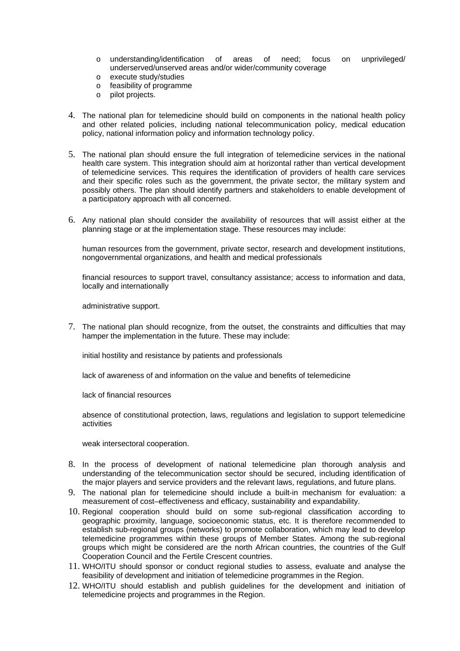- o understanding/identification of areas of need; focus on unprivileged/ underserved/unserved areas and/or wider/community coverage
- 
- o execute study/studies<br>o feasibility of programm feasibility of programme
- o pilot projects.
- 4. The national plan for telemedicine should build on components in the national health policy and other related policies, including national telecommunication policy, medical education policy, national information policy and information technology policy.
- 5. The national plan should ensure the full integration of telemedicine services in the national health care system. This integration should aim at horizontal rather than vertical development of telemedicine services. This requires the identification of providers of health care services and their specific roles such as the government, the private sector, the military system and possibly others. The plan should identify partners and stakeholders to enable development of a participatory approach with all concerned.
- 6. Any national plan should consider the availability of resources that will assist either at the planning stage or at the implementation stage. These resources may include:

human resources from the government, private sector, research and development institutions, nongovernmental organizations, and health and medical professionals

financial resources to support travel, consultancy assistance; access to information and data, locally and internationally

administrative support.

7. The national plan should recognize, from the outset, the constraints and difficulties that may hamper the implementation in the future. These may include:

initial hostility and resistance by patients and professionals

lack of awareness of and information on the value and benefits of telemedicine

lack of financial resources

absence of constitutional protection, laws, regulations and legislation to support telemedicine activities

weak intersectoral cooperation.

- 8. In the process of development of national telemedicine plan thorough analysis and understanding of the telecommunication sector should be secured, including identification of the major players and service providers and the relevant laws, regulations, and future plans.
- 9. The national plan for telemedicine should include a built-in mechanism for evaluation: a measurement of cost–effectiveness and efficacy, sustainability and expandability.
- 10. Regional cooperation should build on some sub-regional classification according to geographic proximity, language, socioeconomic status, etc. It is therefore recommended to establish sub-regional groups (networks) to promote collaboration, which may lead to develop telemedicine programmes within these groups of Member States. Among the sub-regional groups which might be considered are the north African countries, the countries of the Gulf Cooperation Council and the Fertile Crescent countries.
- 11. WHO/ITU should sponsor or conduct regional studies to assess, evaluate and analyse the feasibility of development and initiation of telemedicine programmes in the Region.
- 12. WHO/ITU should establish and publish guidelines for the development and initiation of telemedicine projects and programmes in the Region.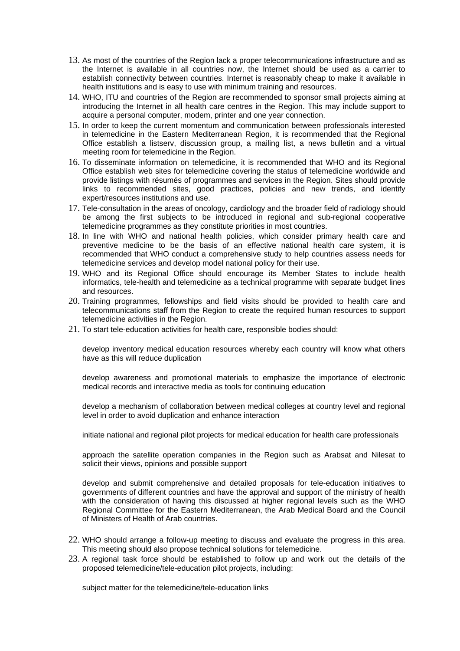- 13. As most of the countries of the Region lack a proper telecommunications infrastructure and as the Internet is available in all countries now, the Internet should be used as a carrier to establish connectivity between countries. Internet is reasonably cheap to make it available in health institutions and is easy to use with minimum training and resources.
- 14. WHO, ITU and countries of the Region are recommended to sponsor small projects aiming at introducing the Internet in all health care centres in the Region. This may include support to acquire a personal computer, modem, printer and one year connection.
- 15. In order to keep the current momentum and communication between professionals interested in telemedicine in the Eastern Mediterranean Region, it is recommended that the Regional Office establish a listserv, discussion group, a mailing list, a news bulletin and a virtual meeting room for telemedicine in the Region.
- 16. To disseminate information on telemedicine, it is recommended that WHO and its Regional Office establish web sites for telemedicine covering the status of telemedicine worldwide and provide listings with résumés of programmes and services in the Region. Sites should provide links to recommended sites, good practices, policies and new trends, and identify expert/resources institutions and use.
- 17. Tele-consultation in the areas of oncology, cardiology and the broader field of radiology should be among the first subjects to be introduced in regional and sub-regional cooperative telemedicine programmes as they constitute priorities in most countries.
- 18. In line with WHO and national health policies, which consider primary health care and preventive medicine to be the basis of an effective national health care system, it is recommended that WHO conduct a comprehensive study to help countries assess needs for telemedicine services and develop model national policy for their use.
- 19. WHO and its Regional Office should encourage its Member States to include health informatics, tele-health and telemedicine as a technical programme with separate budget lines and resources.
- 20. Training programmes, fellowships and field visits should be provided to health care and telecommunications staff from the Region to create the required human resources to support telemedicine activities in the Region.
- 21. To start tele-education activities for health care, responsible bodies should:

develop inventory medical education resources whereby each country will know what others have as this will reduce duplication

develop awareness and promotional materials to emphasize the importance of electronic medical records and interactive media as tools for continuing education

develop a mechanism of collaboration between medical colleges at country level and regional level in order to avoid duplication and enhance interaction

initiate national and regional pilot projects for medical education for health care professionals

approach the satellite operation companies in the Region such as Arabsat and Nilesat to solicit their views, opinions and possible support

develop and submit comprehensive and detailed proposals for tele-education initiatives to governments of different countries and have the approval and support of the ministry of health with the consideration of having this discussed at higher regional levels such as the WHO Regional Committee for the Eastern Mediterranean, the Arab Medical Board and the Council of Ministers of Health of Arab countries.

- 22. WHO should arrange a follow-up meeting to discuss and evaluate the progress in this area. This meeting should also propose technical solutions for telemedicine.
- 23. A regional task force should be established to follow up and work out the details of the proposed telemedicine/tele-education pilot projects, including:

subject matter for the telemedicine/tele-education links